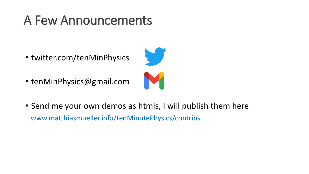#### A Few Announcements

- twitter.com/tenMinPhysics
- tenMinPhysics@gmail.com



• Send me your own demos as htmls, I will publish them here www.matthiasmueller.info/tenMinutePhysics/contribs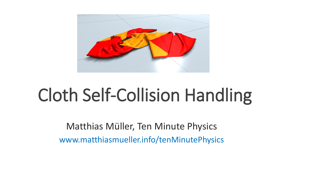

## Cloth Self-Collision Handling

Matthias Müller, Ten Minute Physics www.matthiasmueller.info/tenMinutePhysics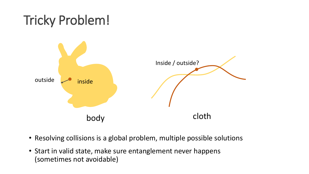

- Resolving collisions is a global problem, multiple possible solutions
- Start in valid state, make sure entanglement never happens (sometimes not avoidable)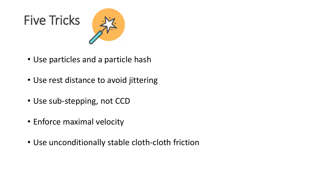# Five Tricks



- Use particles and a particle hash
- Use rest distance to avoid jittering
- Use sub-stepping, not CCD
- Enforce maximal velocity
- Use unconditionally stable cloth-cloth friction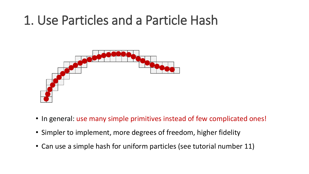#### 1. Use Particles and a Particle Hash



- In general: use many simple primitives instead of few complicated ones!
- Simpler to implement, more degrees of freedom, higher fidelity
- Can use a simple hash for uniform particles (see tutorial number 11)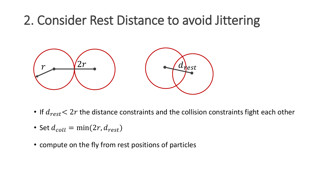#### 2. Consider Rest Distance to avoid Jittering



- If  $d_{rest}$  < 2r the distance constraints and the collision constraints fight each other
- Set  $d_{coll} = \min(2r, d_{rest})$
- compute on the fly from rest positions of particles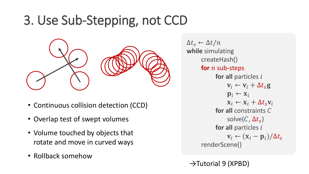### 3. Use Sub-Stepping, not CCD



- Continuous collision detection (CCD)
- Overlap test of swept volumes
- Volume touched by objects that rotate and move in curved ways
- Rollback somehow

 $\Delta t_s \leftarrow \Delta t / n$ **while** simulating createHash() for *n* sub-steps **for all particles i**  $\mathbf{v}_i \leftarrow \mathbf{v}_i + \Delta t_s \mathbf{g}$  $\mathbf{p}_i \leftarrow \mathbf{x}_i$  $\mathbf{x}_i \leftarrow \mathbf{x}_i + \Delta t_s \mathbf{v}_i$ **for all constraints C** solve $(C, \Delta t_{\scriptscriptstyle S})$ **for all particles i**  $\mathbf{v}_i \leftarrow (\mathbf{x}_i - \mathbf{p}_i)/\Delta t_s$ renderScene()

→Tutorial 9 (XPBD)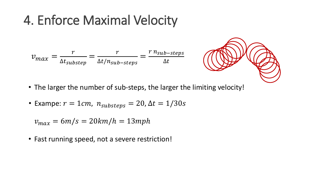#### 4. Enforce Maximal Velocity

$$
v_{max} = \frac{r}{\Delta t_{substep}} = \frac{r}{\Delta t / n_{sub-steps}} = \frac{r n_{sub-steps}}{\Delta t}
$$

- The larger the number of sub-steps, the larger the limiting velocity!
- Exampe:  $r = 1$ *cm*,  $n_{substeps} = 20$ ,  $\Delta t = 1/30$ *s*

 $v_{max} = 6m/s = 20km/h = 13mph$ 

• Fast running speed, not a severe restriction!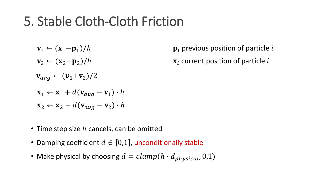#### 5. Stable Cloth-Cloth Friction

- ${\bf v}_1 \leftarrow ({\bf x}_1 {\bf p}_1)/h$  $\mathbf{v}_2 \leftarrow (\mathbf{x}_2 - \mathbf{p}_2)/h$  $\mathbf{v}_{avg} \leftarrow (\mathbf{v}_1+\mathbf{v}_2)/2$  $\mathbf{x}_1 \leftarrow \mathbf{x}_1 + d(\mathbf{v}_{avg} - \mathbf{v}_1) \cdot h$  $\mathbf{x}_2 \leftarrow \mathbf{x}_2 + d(\mathbf{v}_{avg} - \mathbf{v}_2) \cdot h$
- Time step size  $h$  cancels, can be omitted
- Damping coefficient  $d \in [0,1]$ , unconditionally stable
- Make physical by choosing  $d = clamp(h \cdot d_{physical}, 0, 1)$

 $\mathbf{p}_i$  previous position of particle i

 $x_i$  current position of particle i